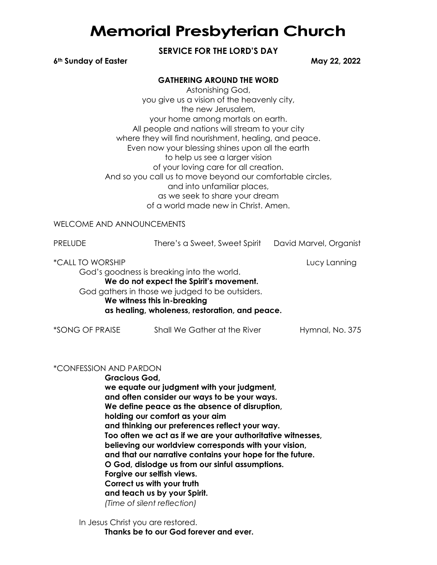# **Memorial Presbyterian Church**

# **SERVICE FOR THE LORD'S DAY**

#### **6th Sunday of Easter May 22, 2022**

## **GATHERING AROUND THE WORD**

Astonishing God, you give us a vision of the heavenly city, the new Jerusalem, your home among mortals on earth. All people and nations will stream to your city where they will find nourishment, healing, and peace. Even now your blessing shines upon all the earth to help us see a larger vision of your loving care for all creation. And so you call us to move beyond our comfortable circles, and into unfamiliar places, as we seek to share your dream of a world made new in Christ. Amen.

### WELCOME AND ANNOUNCEMENTS

| <b>PRELUDE</b>          | There's a Sweet, Sweet Spirit                                                                                                                                                                                             | David Marvel, Organist |
|-------------------------|---------------------------------------------------------------------------------------------------------------------------------------------------------------------------------------------------------------------------|------------------------|
| <i>*CALL TO WORSHIP</i> | God's goodness is breaking into the world.<br>We do not expect the Spirit's movement.<br>God gathers in those we judged to be outsiders.<br>We witness this in-breaking<br>as healing, wholeness, restoration, and peace. | Lucy Lanning           |
| *SONG OF PRAISE         | Shall We Gather at the River                                                                                                                                                                                              | Hymnal, No. 375        |

#### \*CONFESSION AND PARDON

**Gracious God, we equate our judgment with your judgment, and often consider our ways to be your ways. We define peace as the absence of disruption, holding our comfort as your aim and thinking our preferences reflect your way. Too often we act as if we are your authoritative witnesses, believing our worldview corresponds with your vision, and that our narrative contains your hope for the future. O God, dislodge us from our sinful assumptions. Forgive our selfish views. Correct us with your truth and teach us by your Spirit.** *(Time of silent reflection)*

In Jesus Christ you are restored. **Thanks be to our God forever and ever.**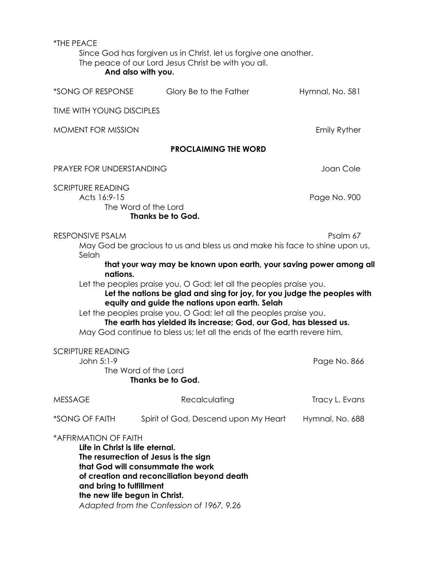| *THE PEACE                                                                                                            | Since God has forgiven us in Christ, let us forgive one another.<br>The peace of our Lord Jesus Christ be with you all.<br>And also with you.                                                                                                                                                                                                                                                                                                                                                                                                                              |                          |
|-----------------------------------------------------------------------------------------------------------------------|----------------------------------------------------------------------------------------------------------------------------------------------------------------------------------------------------------------------------------------------------------------------------------------------------------------------------------------------------------------------------------------------------------------------------------------------------------------------------------------------------------------------------------------------------------------------------|--------------------------|
| *SONG OF RESPONSE                                                                                                     | Glory Be to the Father                                                                                                                                                                                                                                                                                                                                                                                                                                                                                                                                                     | Hymnal, No. 581          |
| <b>TIME WITH YOUNG DISCIPLES</b>                                                                                      |                                                                                                                                                                                                                                                                                                                                                                                                                                                                                                                                                                            |                          |
| <b>MOMENT FOR MISSION</b>                                                                                             | <b>Emily Ryther</b>                                                                                                                                                                                                                                                                                                                                                                                                                                                                                                                                                        |                          |
|                                                                                                                       | <b>PROCLAIMING THE WORD</b>                                                                                                                                                                                                                                                                                                                                                                                                                                                                                                                                                |                          |
| PRAYER FOR UNDERSTANDING                                                                                              | Joan Cole                                                                                                                                                                                                                                                                                                                                                                                                                                                                                                                                                                  |                          |
| <b>SCRIPTURE READING</b><br>Acts 16:9-15<br>The Word of the Lord<br>Thanks be to God.                                 | Page No. 900                                                                                                                                                                                                                                                                                                                                                                                                                                                                                                                                                               |                          |
| RESPONSIVE PSALM<br>Selah<br>nations.<br><b>SCRIPTURE READING</b><br>John 5:1-9                                       | May God be gracious to us and bless us and make his face to shine upon us,<br>that your way may be known upon earth, your saving power among all<br>Let the peoples praise you, O God; let all the peoples praise you.<br>Let the nations be glad and sing for joy, for you judge the peoples with<br>equity and guide the nations upon earth. Selah<br>Let the peoples praise you, O God; let all the peoples praise you.<br>The earth has yielded its increase; God, our God, has blessed us.<br>May God continue to bless us; let all the ends of the earth revere him. | Psalm 67<br>Page No. 866 |
|                                                                                                                       | The Word of the Lord<br><b>Thanks be to God.</b>                                                                                                                                                                                                                                                                                                                                                                                                                                                                                                                           |                          |
| <b>MESSAGE</b>                                                                                                        | Recalculating                                                                                                                                                                                                                                                                                                                                                                                                                                                                                                                                                              | Tracy L. Evans           |
| *SONG OF FAITH                                                                                                        | Spirit of God, Descend upon My Heart                                                                                                                                                                                                                                                                                                                                                                                                                                                                                                                                       | Hymnal, No. 688          |
| *AFFIRMATION OF FAITH<br>Life in Christ is life eternal.<br>and bring to fulfillment<br>the new life begun in Christ. | The resurrection of Jesus is the sign<br>that God will consummate the work<br>of creation and reconciliation beyond death<br>Adapted from the Confession of 1967, 9.26                                                                                                                                                                                                                                                                                                                                                                                                     |                          |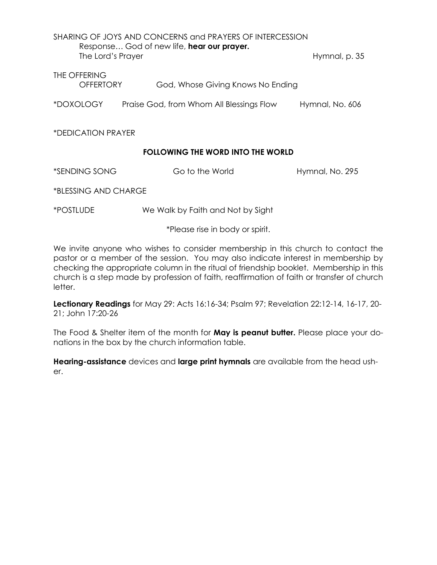| SHARING OF JOYS AND CONCERNS and PRAYERS OF INTERCESSION<br>Response God of new life, hear our prayer.<br>The Lord's Prayer<br>Hymnal, p. 35 |                                          |                 |  |  |
|----------------------------------------------------------------------------------------------------------------------------------------------|------------------------------------------|-----------------|--|--|
| THE OFFERING<br>OFFERTORY                                                                                                                    | God, Whose Giving Knows No Ending        |                 |  |  |
| *DOXOLOGY                                                                                                                                    | Praise God, from Whom All Blessings Flow | Hymnal, No. 606 |  |  |

\*DEDICATION PRAYER

# **FOLLOWING THE WORD INTO THE WORLD**

\*SENDING SONG Go to the World Hymnal, No. 295

\*BLESSING AND CHARGE

\*POSTLUDE We Walk by Faith and Not by Sight

\*Please rise in body or spirit.

We invite anyone who wishes to consider membership in this church to contact the pastor or a member of the session. You may also indicate interest in membership by checking the appropriate column in the ritual of friendship booklet. Membership in this church is a step made by profession of faith, reaffirmation of faith or transfer of church letter.

**Lectionary Readings** for May 29: Acts 16:16-34; Psalm 97; Revelation 22:12-14, 16-17, 20- 21; John 17:20-26

The Food & Shelter item of the month for **May is peanut butter.** Please place your donations in the box by the church information table.

**Hearing-assistance** devices and **large print hymnals** are available from the head usher.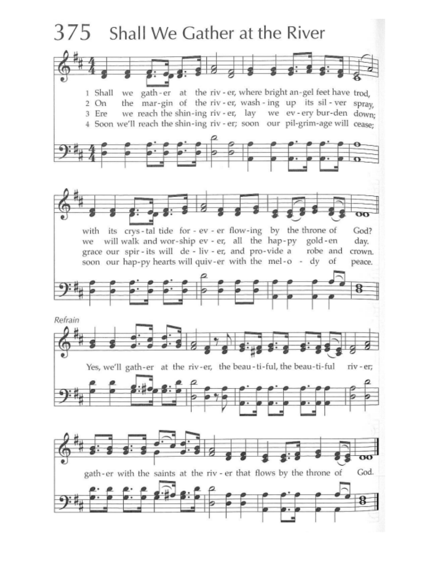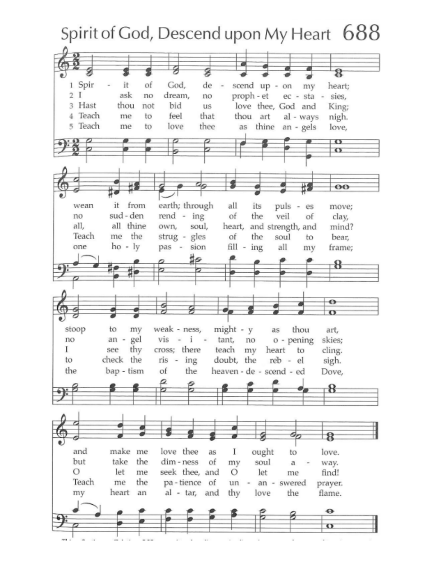